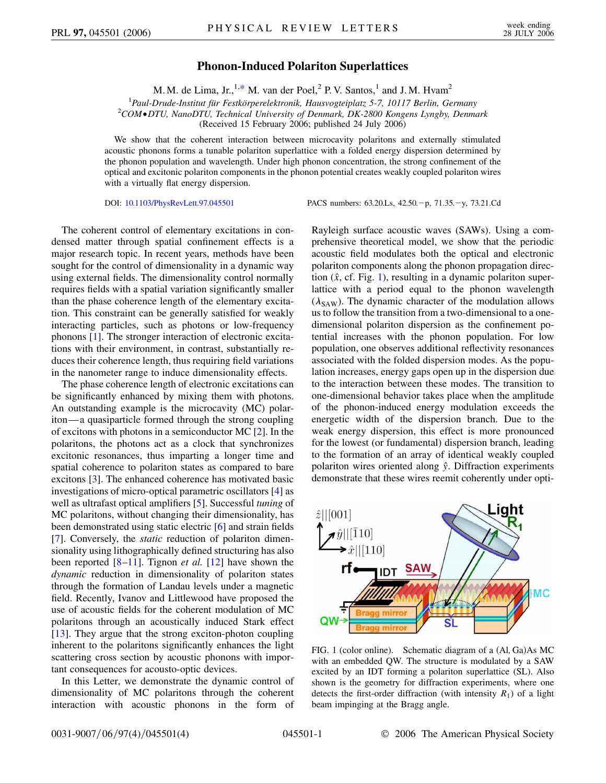## **Phonon-Induced Polariton Superlattices**

M. M. de Lima, Jr.,<sup>1[,\\*](#page-3-0)</sup> M. van der Poel,<sup>2</sup> P. V. Santos,<sup>1</sup> and J. M. Hvam<sup>2</sup>

<span id="page-0-1"></span><sup>1</sup> Paul-Drude-Institut für Festkörperelektronik, Hausvogteiplatz 5-7, 10117 Berlin, Germany<br><sup>2</sup>COM●DTU\_NanoDTU\_Technical University of Denmark, DK 2800 Kongens Lynghy, Denma *COMDTU, NanoDTU, Technical University of Denmark, DK-2800 Kongens Lyngby, Denmark* (Received 15 February 2006; published 24 July 2006)

We show that the coherent interaction between microcavity polaritons and externally stimulated acoustic phonons forms a tunable polariton superlattice with a folded energy dispersion determined by the phonon population and wavelength. Under high phonon concentration, the strong confinement of the optical and excitonic polariton components in the phonon potential creates weakly coupled polariton wires with a virtually flat energy dispersion.

DOI: [10.1103/PhysRevLett.97.045501](http://dx.doi.org/10.1103/PhysRevLett.97.045501)

p, 71.35.-y, 73.21.Cd

The coherent control of elementary excitations in condensed matter through spatial confinement effects is a major research topic. In recent years, methods have been sought for the control of dimensionality in a dynamic way using external fields. The dimensionality control normally requires fields with a spatial variation significantly smaller than the phase coherence length of the elementary excitation. This constraint can be generally satisfied for weakly interacting particles, such as photons or low-frequency phonons [[1\]](#page-3-1). The stronger interaction of electronic excitations with their environment, in contrast, substantially reduces their coherence length, thus requiring field variations in the nanometer range to induce dimensionality effects.

The phase coherence length of electronic excitations can be significantly enhanced by mixing them with photons. An outstanding example is the microcavity (MC) polariton—a quasiparticle formed through the strong coupling of excitons with photons in a semiconductor MC [[2\]](#page-3-2). In the polaritons, the photons act as a clock that synchronizes excitonic resonances, thus imparting a longer time and spatial coherence to polariton states as compared to bare excitons [\[3](#page-3-3)]. The enhanced coherence has motivated basic investigations of micro-optical parametric oscillators [\[4\]](#page-3-4) as well as ultrafast optical amplifiers [[5\]](#page-3-5). Successful *tuning* of MC polaritons, without changing their dimensionality, has been demonstrated using static electric [[6](#page-3-6)] and strain fields [\[7\]](#page-3-7). Conversely, the *static* reduction of polariton dimensionality using lithographically defined structuring has also been reported [[8](#page-3-8)–[11](#page-3-9)]. Tignon *et al.* [\[12\]](#page-3-10) have shown the *dynamic* reduction in dimensionality of polariton states through the formation of Landau levels under a magnetic field. Recently, Ivanov and Littlewood have proposed the use of acoustic fields for the coherent modulation of MC polaritons through an acoustically induced Stark effect [\[13\]](#page-3-11). They argue that the strong exciton-photon coupling inherent to the polaritons significantly enhances the light scattering cross section by acoustic phonons with important consequences for acousto-optic devices.

In this Letter, we demonstrate the dynamic control of dimensionality of MC polaritons through the coherent interaction with acoustic phonons in the form of Rayleigh surface acoustic waves (SAWs). Using a comprehensive theoretical model, we show that the periodic acoustic field modulates both the optical and electronic polariton components along the phonon propagation direction  $(\hat{x}, \text{cf. Fig. 1})$ , resulting in a dynamic polariton superlattice with a period equal to the phonon wavelength  $(\lambda_{SAW})$ . The dynamic character of the modulation allows us to follow the transition from a two-dimensional to a onedimensional polariton dispersion as the confinement potential increases with the phonon population. For low population, one observes additional reflectivity resonances associated with the folded dispersion modes. As the population increases, energy gaps open up in the dispersion due to the interaction between these modes. The transition to one-dimensional behavior takes place when the amplitude of the phonon-induced energy modulation exceeds the energetic width of the dispersion branch. Due to the weak energy dispersion, this effect is more pronounced for the lowest (or fundamental) dispersion branch, leading to the formation of an array of identical weakly coupled polariton wires oriented along *y*^. Diffraction experiments demonstrate that these wires reemit coherently under opti-

<span id="page-0-0"></span>

FIG. 1 (color online). Schematic diagram of a (Al, Ga)As MC with an embedded QW. The structure is modulated by a SAW excited by an IDT forming a polariton superlattice (SL). Also shown is the geometry for diffraction experiments, where one detects the first-order diffraction (with intensity  $R_1$ ) of a light beam impinging at the Bragg angle.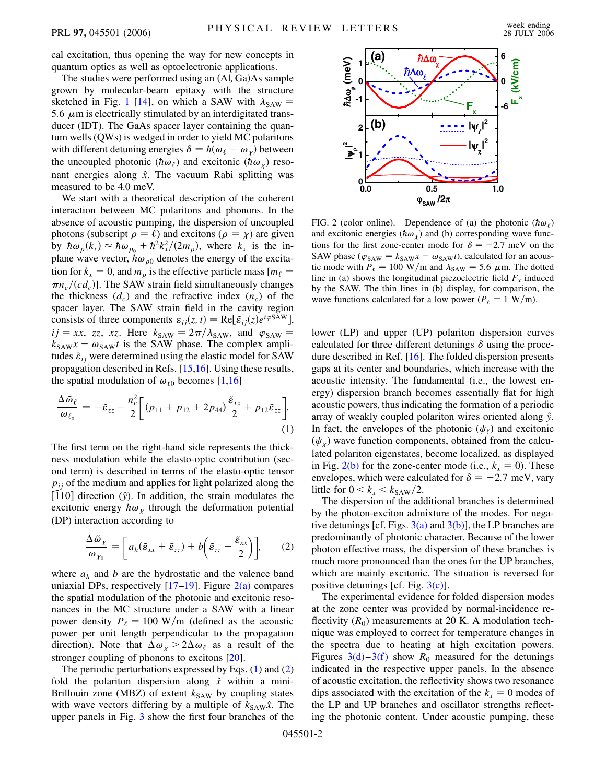cal excitation, thus opening the way for new concepts in quantum optics as well as optoelectronic applications.

The studies were performed using an (Al<sub>i</sub> Ga)As sample grown by molecular-beam epitaxy with the structure sketched in Fig. [1](#page-0-0) [[14](#page-3-12)], on which a SAW with  $\lambda_{\text{SAW}} =$ 5.6  $\mu$ m is electrically stimulated by an interdigitated transducer (IDT). The GaAs spacer layer containing the quantum wells (QWs) is wedged in order to yield MC polaritons with different detuning energies  $\delta = h(\omega_\ell - \omega_\chi)$  between the uncoupled photonic ( $\hbar \omega_{\ell}$ ) and excitonic ( $\hbar \omega_{\gamma}$ ) resonant energies along  $\hat{x}$ . The vacuum Rabi splitting was measured to be 4.0 meV.

We start with a theoretical description of the coherent interaction between MC polaritons and phonons. In the absence of acoustic pumping, the dispersion of uncoupled photons (subscript  $\rho = \ell$ ) and excitons ( $\rho = \chi$ ) are given by  $\hbar \omega_{\rho} (k_x) \approx \hbar \omega_{\rho_0} + \hbar^2 k_x^2/(2m_{\rho}),$  where  $k_x$  is the inplane wave vector,  $\hbar \omega_{\rho 0}$  denotes the energy of the excitation for  $k_x = 0$ , and  $m_\rho$  is the effective particle mass  $[m_\ell =$  $\pi n_c/(c d_c)$ . The SAW strain field simultaneously changes the thickness  $(d_c)$  and the refractive index  $(n_c)$  of the spacer layer. The SAW strain field in the cavity region consists of three components  $\varepsilon_{ij}(z, t) = \text{Re}[\tilde{\varepsilon}_{ij}(z)e^{i\varphi \text{SAW}}],$  $ij = xx$ , *zz*, *xz*. Here  $k_{SAW} = 2\pi/\lambda_{SAW}$ , and  $\varphi_{SAW} =$  $k_{SAW}x - \omega_{SAW}t$  is the SAW phase. The complex amplitudes  $\tilde{\varepsilon}_{ij}$  were determined using the elastic model for SAW propagation described in Refs. [\[15](#page-3-13)[,16\]](#page-3-14). Using these results, the spatial modulation of  $\omega_{\ell 0}$  becomes [[1](#page-3-1),[16](#page-3-14)]

<span id="page-1-1"></span>
$$
\frac{\Delta \tilde{\omega}_{\ell}}{\omega_{\ell_0}} = -\tilde{\varepsilon}_{zz} - \frac{n_c^2}{2} \bigg[ (p_{11} + p_{12} + 2p_{44}) \frac{\tilde{\varepsilon}_{xx}}{2} + p_{12} \tilde{\varepsilon}_{zz} \bigg].
$$
\n(1)

The first term on the right-hand side represents the thickness modulation while the elasto-optic contribution (second term) is described in terms of the elasto-optic tensor  $p_{ij}$  of the medium and applies for light polarized along the  $\left[\overline{1}10\right]$  direction ( $\hat{y}$ ). In addition, the strain modulates the excitonic energy  $\hbar \omega_{\chi}$  through the deformation potential (DP) interaction according to

<span id="page-1-2"></span>
$$
\frac{\Delta \tilde{\omega}_{\chi}}{\omega_{\chi_0}} = \left[ a_h (\tilde{\varepsilon}_{xx} + \tilde{\varepsilon}_{zz}) + b \left( \tilde{\varepsilon}_{zz} - \frac{\tilde{\varepsilon}_{xx}}{2} \right) \right], \qquad (2)
$$

where  $a_h$  and  $b$  are the hydrostatic and the valence band uniaxial DPs, respectively  $[17–19]$  $[17–19]$  $[17–19]$  $[17–19]$  $[17–19]$ . Figure  $2(a)$  compares the spatial modulation of the photonic and excitonic resonances in the MC structure under a SAW with a linear power density  $P_{\ell} = 100 \text{ W/m}$  (defined as the acoustic power per unit length perpendicular to the propagation direction). Note that  $\Delta \omega_{\chi} > 2\Delta \omega_{\ell}$  as a result of the stronger coupling of phonons to excitons [[20](#page-3-17)].

The periodic perturbations expressed by Eqs.  $(1)$  $(1)$  and  $(2)$ fold the polariton dispersion along  $\hat{x}$  within a mini-Brillouin zone (MBZ) of extent  $k_{SAW}$  by coupling states with wave vectors differing by a multiple of  $k_{SAW}\hat{x}$ . The upper panels in Fig. [3](#page-2-0) show the first four branches of the



<span id="page-1-0"></span>FIG. 2 (color online). Dependence of (a) the photonic  $(h\omega_\ell)$ and excitonic energies ( $\hbar \omega_{\chi}$ ) and (b) corresponding wave functions for the first zone-center mode for  $\delta = -2.7$  meV on the SAW phase ( $\varphi_{SAW} = k_{SAW}x - \omega_{SAW}t$ ), calculated for an acoustic mode with  $P_\ell = 100 \text{ W/m}$  and  $\lambda_{\text{SAW}} = 5.6 \mu \text{m}$ . The dotted line in (a) shows the longitudinal piezoelectric field  $F_x$  induced by the SAW. The thin lines in (b) display, for comparison, the wave functions calculated for a low power ( $P_\ell = 1$  W/m).

lower (LP) and upper (UP) polariton dispersion curves calculated for three different detunings  $\delta$  using the procedure described in Ref. [\[16\]](#page-3-14). The folded dispersion presents gaps at its center and boundaries, which increase with the acoustic intensity. The fundamental (i.e., the lowest energy) dispersion branch becomes essentially flat for high acoustic powers, thus indicating the formation of a periodic array of weakly coupled polariton wires oriented along *y*^. In fact, the envelopes of the photonic  $(\psi_{\ell})$  and excitonic  $(\psi_x)$  wave function components, obtained from the calculated polariton eigenstates, become localized, as displayed in Fig.  $2(b)$  for the zone-center mode (i.e.,  $k_x = 0$ ). These envelopes, which were calculated for  $\delta = -2.7$  meV, vary little for  $0 < k_x < k_{\text{SAW}}/2$ .

The dispersion of the additional branches is determined by the photon-exciton admixture of the modes. For negative detunings [cf. Figs.  $3(a)$  and  $3(b)$ ], the LP branches are predominantly of photonic character. Because of the lower photon effective mass, the dispersion of these branches is much more pronounced than the ones for the UP branches, which are mainly excitonic. The situation is reversed for positive detunings [cf. Fig.  $3(c)$ ].

The experimental evidence for folded dispersion modes at the zone center was provided by normal-incidence reflectivity  $(R_0)$  measurements at 20 K. A modulation technique was employed to correct for temperature changes in the spectra due to heating at high excitation powers. Figures  $3(d)-3(f)$  $3(d)-3(f)$  $3(d)-3(f)$  show  $R_0$  measured for the detunings indicated in the respective upper panels. In the absence of acoustic excitation, the reflectivity shows two resonance dips associated with the excitation of the  $k_x = 0$  modes of the LP and UP branches and oscillator strengths reflecting the photonic content. Under acoustic pumping, these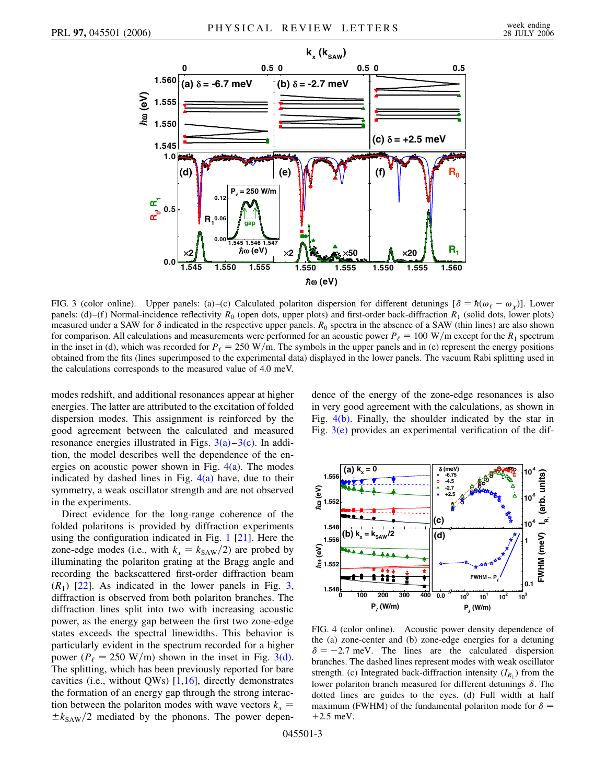<span id="page-2-0"></span>

<span id="page-2-1"></span>FIG. 3 (color online). Upper panels: (a)–(c) Calculated polariton dispersion for different detunings  $[\delta = \hbar(\omega_\ell - \omega_\chi)]$ . Lower panels: (d)–(f) Normal-incidence reflectivity  $R_0$  (open dots, upper plots) and first-order back-diffraction  $R_1$  (solid dots, lower plots) measured under a SAW for  $\delta$  indicated in the respective upper panels.  $R_0$  spectra in the absence of a SAW (thin lines) are also shown for comparison. All calculations and measurements were performed for an acoustic power  $P_\ell = 100 \text{ W/m}$  except for the  $R_1$  spectrum in the inset in (d), which was recorded for  $P_\ell = 250 \text{ W/m}$ . The symbols in the upper panels and in (e) represent the energy positions obtained from the fits (lines superimposed to the experimental data) displayed in the lower panels. The vacuum Rabi splitting used in the calculations corresponds to the measured value of 4.0 meV.

modes redshift, and additional resonances appear at higher energies. The latter are attributed to the excitation of folded dispersion modes. This assignment is reinforced by the good agreement between the calculated and measured resonance energies illustrated in Figs.  $3(a)-3(c)$  $3(a)-3(c)$  $3(a)-3(c)$ . In addition, the model describes well the dependence of the energies on acoustic power shown in Fig.  $4(a)$ . The modes indicated by dashed lines in Fig.  $4(a)$  have, due to their symmetry, a weak oscillator strength and are not observed in the experiments.

Direct evidence for the long-range coherence of the folded polaritons is provided by diffraction experiments using the configuration indicated in Fig. [1](#page-0-0) [\[21\]](#page-3-18). Here the zone-edge modes (i.e., with  $k_x = k_{SAW}/2$ ) are probed by illuminating the polariton grating at the Bragg angle and recording the backscattered first-order diffraction beam  $(R_1)$  [[22](#page-3-19)]. As indicated in the lower panels in Fig. [3](#page-2-0), diffraction is observed from both polariton branches. The diffraction lines split into two with increasing acoustic power, as the energy gap between the first two zone-edge states exceeds the spectral linewidths. This behavior is particularly evident in the spectrum recorded for a higher power ( $P_\ell = 250$  W/m) shown in the inset in Fig. [3\(d\)](#page-2-1). The splitting, which has been previously reported for bare cavities (i.e., without QWs) [[1](#page-3-1),[16](#page-3-14)], directly demonstrates the formation of an energy gap through the strong interaction between the polariton modes with wave vectors  $k_x =$  $\pm k_{SAW}/2$  mediated by the phonons. The power dependence of the energy of the zone-edge resonances is also in very good agreement with the calculations, as shown in Fig. [4\(b\).](#page-2-2) Finally, the shoulder indicated by the star in Fig.  $3(e)$  provides an experimental verification of the dif-



<span id="page-2-2"></span>FIG. 4 (color online). Acoustic power density dependence of the (a) zone-center and (b) zone-edge energies for a detuning  $\delta = -2.7$  meV. The lines are the calculated dispersion branches. The dashed lines represent modes with weak oscillator strength. (c) Integrated back-diffraction intensity  $(I_{R_1})$  from the lower polariton branch measured for different detunings  $\delta$ . The dotted lines are guides to the eyes. (d) Full width at half maximum (FWHM) of the fundamental polariton mode for  $\delta$  = 2*:*5 meV.